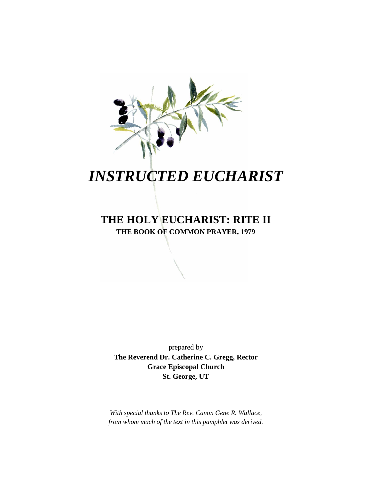

# *INSTRUCTED EUCHARIST*

## **THE HOLY EUCHARIST: RITE II THE BOOK OF COMMON PRAYER, 1979**

prepared by **The Reverend Dr. Catherine C. Gregg, Rector Grace Episcopal Church St. George, UT**

*With special thanks to The Rev. Canon Gene R. Wallace, from whom much of the text in this pamphlet was derived.*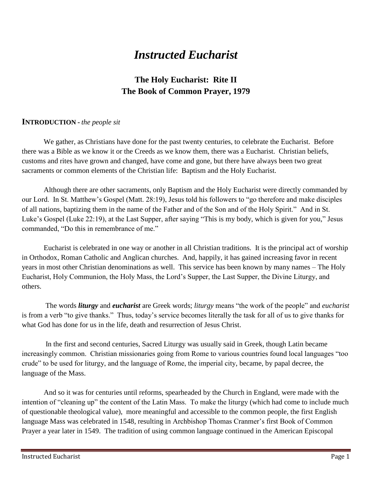# *Instructed Eucharist*

### **The Holy Eucharist: Rite II The Book of Common Prayer, 1979**

#### **INTRODUCTION -** *the people sit*

We gather, as Christians have done for the past twenty centuries, to celebrate the Eucharist. Before there was a Bible as we know it or the Creeds as we know them, there was a Eucharist. Christian beliefs, customs and rites have grown and changed, have come and gone, but there have always been two great sacraments or common elements of the Christian life: Baptism and the Holy Eucharist.

Although there are other sacraments, only Baptism and the Holy Eucharist were directly commanded by our Lord. In St. Matthew's Gospel (Matt. 28:19), Jesus told his followers to "go therefore and make disciples of all nations, baptizing them in the name of the Father and of the Son and of the Holy Spirit." And in St. Luke's Gospel (Luke 22:19), at the Last Supper, after saying "This is my body, which is given for you," Jesus commanded, "Do this in remembrance of me."

Eucharist is celebrated in one way or another in all Christian traditions. It is the principal act of worship in Orthodox, Roman Catholic and Anglican churches. And, happily, it has gained increasing favor in recent years in most other Christian denominations as well. This service has been known by many names – The Holy Eucharist, Holy Communion, the Holy Mass, the Lord's Supper, the Last Supper, the Divine Liturgy, and others.

 The words *liturgy* and *eucharist* are Greek words; *liturgy* means "the work of the people" and *eucharist* is from a verb "to give thanks." Thus, today's service becomes literally the task for all of us to give thanks for what God has done for us in the life, death and resurrection of Jesus Christ.

In the first and second centuries, Sacred Liturgy was usually said in Greek, though Latin became increasingly common. Christian missionaries going from Rome to various countries found local languages "too crude" to be used for liturgy, and the language of Rome, the imperial city, became, by papal decree, the language of the Mass.

And so it was for centuries until reforms, spearheaded by the Church in England, were made with the intention of "cleaning up" the content of the Latin Mass. To make the liturgy (which had come to include much of questionable theological value), more meaningful and accessible to the common people, the first English language Mass was celebrated in 1548, resulting in Archbishop Thomas Cranmer's first Book of Common Prayer a year later in 1549. The tradition of using common language continued in the American Episcopal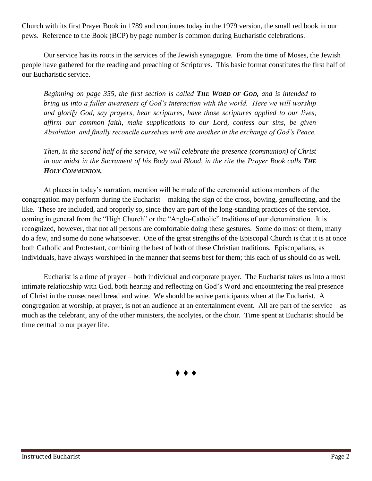Church with its first Prayer Book in 1789 and continues today in the 1979 version, the small red book in our pews. Reference to the Book (BCP) by page number is common during Eucharistic celebrations.

Our service has its roots in the services of the Jewish synagogue. From the time of Moses, the Jewish people have gathered for the reading and preaching of Scriptures. This basic format constitutes the first half of our Eucharistic service.

*Beginning on page 355, the first section is called THE WORD OF GOD, and is intended to bring us into a fuller awareness of God's interaction with the world. Here we will worship and glorify God, say prayers, hear scriptures, have those scriptures applied to our lives, affirm our common faith, make supplications to our Lord, confess our sins, be given Absolution, and finally reconcile ourselves with one another in the exchange of God's Peace.*

*Then, in the second half of the service, we will celebrate the presence (communion) of Christ in our midst in the Sacrament of his Body and Blood, in the rite the Prayer Book calls THE HOLY COMMUNION.*

At places in today's narration, mention will be made of the ceremonial actions members of the congregation may perform during the Eucharist – making the sign of the cross, bowing, genuflecting, and the like. These are included, and properly so, since they are part of the long-standing practices of the service, coming in general from the "High Church" or the "Anglo-Catholic" traditions of our denomination. It is recognized, however, that not all persons are comfortable doing these gestures. Some do most of them, many do a few, and some do none whatsoever. One of the great strengths of the Episcopal Church is that it is at once both Catholic and Protestant, combining the best of both of these Christian traditions. Episcopalians, as individuals, have always worshiped in the manner that seems best for them; this each of us should do as well.

Eucharist is a time of prayer – both individual and corporate prayer. The Eucharist takes us into a most intimate relationship with God, both hearing and reflecting on God's Word and encountering the real presence of Christ in the consecrated bread and wine. We should be active participants when at the Eucharist. A congregation at worship, at prayer, is not an audience at an entertainment event. All are part of the service – as much as the celebrant, any of the other ministers, the acolytes, or the choir. Time spent at Eucharist should be time central to our prayer life.

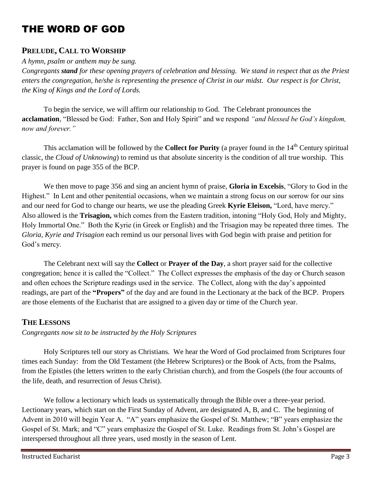# THE WORD OF GOD

#### **PRELUDE, CALL TO WORSHIP**

*A hymn, psalm or anthem may be sung.*

*Congregants stand for these opening prayers of celebration and blessing. We stand in respect that as the Priest enters the congregation, he/she is representing the presence of Christ in our midst. Our respect is for Christ, the King of Kings and the Lord of Lords.* 

To begin the service, we will affirm our relationship to God. The Celebrant pronounces the **acclamation**, "Blessed be God: Father, Son and Holy Spirit" and we respond *"and blessed be God's kingdom, now and forever."*

This acclamation will be followed by the **Collect for Purity** (a prayer found in the 14<sup>th</sup> Century spiritual classic, the *Cloud of Unknowing*) to remind us that absolute sincerity is the condition of all true worship. This prayer is found on page 355 of the BCP.

We then move to page 356 and sing an ancient hymn of praise, **Gloria in Excelsis**, "Glory to God in the Highest." In Lent and other penitential occasions, when we maintain a strong focus on our sorrow for our sins and our need for God to change our hearts, we use the pleading Greek **Kyrie Eleison,** "Lord, have mercy." Also allowed is the **Trisagion,** which comes from the Eastern tradition, intoning "Holy God, Holy and Mighty, Holy Immortal One." Both the Kyrie (in Greek or English) and the Trisagion may be repeated three times. The *Gloria, Kyrie and Trisagion* each remind us our personal lives with God begin with praise and petition for God's mercy.

The Celebrant next will say the **Collect** or **Prayer of the Day**, a short prayer said for the collective congregation; hence it is called the "Collect." The Collect expresses the emphasis of the day or Church season and often echoes the Scripture readings used in the service. The Collect, along with the day's appointed readings, are part of the **"Propers"** of the day and are found in the Lectionary at the back of the BCP. Propers are those elements of the Eucharist that are assigned to a given day or time of the Church year.

#### **THE LESSONS**

*Congregants now sit to be instructed by the Holy Scriptures*

Holy Scriptures tell our story as Christians. We hear the Word of God proclaimed from Scriptures four times each Sunday: from the Old Testament (the Hebrew Scriptures) or the Book of Acts, from the Psalms, from the Epistles (the letters written to the early Christian church), and from the Gospels (the four accounts of the life, death, and resurrection of Jesus Christ).

We follow a lectionary which leads us systematically through the Bible over a three-year period. Lectionary years, which start on the First Sunday of Advent, are designated A, B, and C. The beginning of Advent in 2010 will begin Year A. "A" years emphasize the Gospel of St. Matthew; "B" years emphasize the Gospel of St. Mark; and "C" years emphasize the Gospel of St. Luke. Readings from St. John's Gospel are interspersed throughout all three years, used mostly in the season of Lent.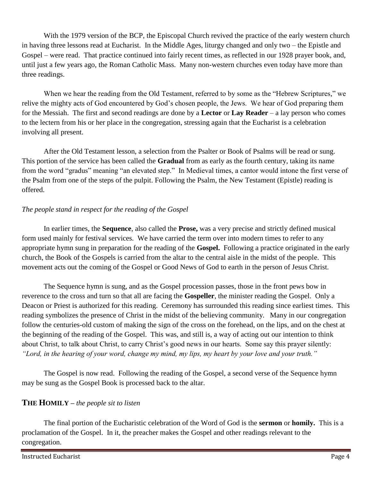With the 1979 version of the BCP, the Episcopal Church revived the practice of the early western church in having three lessons read at Eucharist. In the Middle Ages, liturgy changed and only two – the Epistle and Gospel – were read. That practice continued into fairly recent times, as reflected in our 1928 prayer book, and, until just a few years ago, the Roman Catholic Mass. Many non-western churches even today have more than three readings.

When we hear the reading from the Old Testament, referred to by some as the "Hebrew Scriptures," we relive the mighty acts of God encountered by God's chosen people, the Jews. We hear of God preparing them for the Messiah. The first and second readings are done by a **Lector** or **Lay Reader** – a lay person who comes to the lectern from his or her place in the congregation, stressing again that the Eucharist is a celebration involving all present.

After the Old Testament lesson, a selection from the Psalter or Book of Psalms will be read or sung. This portion of the service has been called the **Gradual** from as early as the fourth century, taking its name from the word "gradus" meaning "an elevated step." In Medieval times, a cantor would intone the first verse of the Psalm from one of the steps of the pulpit. Following the Psalm, the New Testament (Epistle) reading is offered.

#### *The people stand in respect for the reading of the Gospel*

In earlier times, the **Sequence**, also called the **Prose,** was a very precise and strictly defined musical form used mainly for festival services. We have carried the term over into modern times to refer to any appropriate hymn sung in preparation for the reading of the **Gospel.** Following a practice originated in the early church, the Book of the Gospels is carried from the altar to the central aisle in the midst of the people. This movement acts out the coming of the Gospel or Good News of God to earth in the person of Jesus Christ.

The Sequence hymn is sung, and as the Gospel procession passes, those in the front pews bow in reverence to the cross and turn so that all are facing the **Gospeller**, the minister reading the Gospel. Only a Deacon or Priest is authorized for this reading. Ceremony has surrounded this reading since earliest times. This reading symbolizes the presence of Christ in the midst of the believing community. Many in our congregation follow the centuries-old custom of making the sign of the cross on the forehead, on the lips, and on the chest at the beginning of the reading of the Gospel. This was, and still is, a way of acting out our intention to think about Christ, to talk about Christ, to carry Christ's good news in our hearts. Some say this prayer silently: *"Lord, in the hearing of your word, change my mind, my lips, my heart by your love and your truth."*

The Gospel is now read. Following the reading of the Gospel, a second verse of the Sequence hymn may be sung as the Gospel Book is processed back to the altar.

#### **THE HOMILY –** *the people sit to listen*

The final portion of the Eucharistic celebration of the Word of God is the **sermon** or **homily.** This is a proclamation of the Gospel. In it, the preacher makes the Gospel and other readings relevant to the congregation.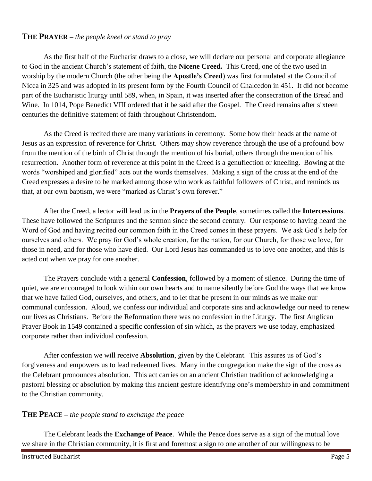#### **THE PRAYER –** *the people kneel or stand to pray*

As the first half of the Eucharist draws to a close, we will declare our personal and corporate allegiance to God in the ancient Church's statement of faith, the **Nicene Creed.** This Creed, one of the two used in worship by the modern Church (the other being the **Apostle's Creed**) was first formulated at the Council of Nicea in 325 and was adopted in its present form by the Fourth Council of Chalcedon in 451. It did not become part of the Eucharistic liturgy until 589, when, in Spain, it was inserted after the consecration of the Bread and Wine. In 1014, Pope Benedict VIII ordered that it be said after the Gospel. The Creed remains after sixteen centuries the definitive statement of faith throughout Christendom.

As the Creed is recited there are many variations in ceremony. Some bow their heads at the name of Jesus as an expression of reverence for Christ. Others may show reverence through the use of a profound bow from the mention of the birth of Christ through the mention of his burial, others through the mention of his resurrection. Another form of reverence at this point in the Creed is a genuflection or kneeling. Bowing at the words "worshiped and glorified" acts out the words themselves. Making a sign of the cross at the end of the Creed expresses a desire to be marked among those who work as faithful followers of Christ, and reminds us that, at our own baptism, we were "marked as Christ's own forever."

After the Creed, a lector will lead us in the **Prayers of the People**, sometimes called the **Intercessions**. These have followed the Scriptures and the sermon since the second century. Our response to having heard the Word of God and having recited our common faith in the Creed comes in these prayers. We ask God's help for ourselves and others. We pray for God's whole creation, for the nation, for our Church, for those we love, for those in need, and for those who have died. Our Lord Jesus has commanded us to love one another, and this is acted out when we pray for one another.

The Prayers conclude with a general **Confession**, followed by a moment of silence. During the time of quiet, we are encouraged to look within our own hearts and to name silently before God the ways that we know that we have failed God, ourselves, and others, and to let that be present in our minds as we make our communal confession. Aloud, we confess our individual and corporate sins and acknowledge our need to renew our lives as Christians. Before the Reformation there was no confession in the Liturgy. The first Anglican Prayer Book in 1549 contained a specific confession of sin which, as the prayers we use today, emphasized corporate rather than individual confession.

After confession we will receive **Absolution**, given by the Celebrant. This assures us of God's forgiveness and empowers us to lead redeemed lives. Many in the congregation make the sign of the cross as the Celebrant pronounces absolution. This act carries on an ancient Christian tradition of acknowledging a pastoral blessing or absolution by making this ancient gesture identifying one's membership in and commitment to the Christian community.

#### **THE PEACE –** *the people stand to exchange the peace*

The Celebrant leads the **Exchange of Peace**. While the Peace does serve as a sign of the mutual love we share in the Christian community, it is first and foremost a sign to one another of our willingness to be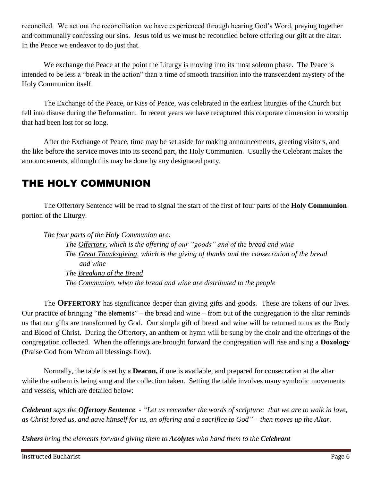reconciled. We act out the reconciliation we have experienced through hearing God's Word, praying together and communally confessing our sins. Jesus told us we must be reconciled before offering our gift at the altar. In the Peace we endeavor to do just that.

We exchange the Peace at the point the Liturgy is moving into its most solemn phase. The Peace is intended to be less a "break in the action" than a time of smooth transition into the transcendent mystery of the Holy Communion itself.

The Exchange of the Peace, or Kiss of Peace, was celebrated in the earliest liturgies of the Church but fell into disuse during the Reformation. In recent years we have recaptured this corporate dimension in worship that had been lost for so long.

After the Exchange of Peace, time may be set aside for making announcements, greeting visitors, and the like before the service moves into its second part, the Holy Communion. Usually the Celebrant makes the announcements, although this may be done by any designated party.

# THE HOLY COMMUNION

The Offertory Sentence will be read to signal the start of the first of four parts of the **Holy Communion** portion of the Liturgy.

*The four parts of the Holy Communion are:*

*The Offertory, which is the offering of our "goods" and of the bread and wine The Great Thanksgiving, which is the giving of thanks and the consecration of the bread and wine The Breaking of the Bread The Communion, when the bread and wine are distributed to the people*

The **OFFERTORY** has significance deeper than giving gifts and goods. These are tokens of our lives. Our practice of bringing "the elements" – the bread and wine – from out of the congregation to the altar reminds us that our gifts are transformed by God. Our simple gift of bread and wine will be returned to us as the Body and Blood of Christ. During the Offertory, an anthem or hymn will be sung by the choir and the offerings of the congregation collected. When the offerings are brought forward the congregation will rise and sing a **Doxology** (Praise God from Whom all blessings flow).

Normally, the table is set by a **Deacon,** if one is available, and prepared for consecration at the altar while the anthem is being sung and the collection taken. Setting the table involves many symbolic movements and vessels, which are detailed below:

*Celebrant says the Offertory Sentence - "Let us remember the words of scripture: that we are to walk in love, as Christ loved us, and gave himself for us, an offering and a sacrifice to God" – then moves up the Altar.*

*Ushers bring the elements forward giving them to Acolytes who hand them to the Celebrant*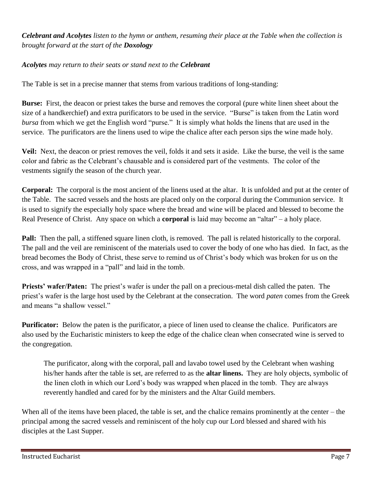#### *Celebrant and Acolytes listen to the hymn or anthem, resuming their place at the Table when the collection is brought forward at the start of the Doxology*

#### *Acolytes may return to their seats or stand next to the Celebrant*

The Table is set in a precise manner that stems from various traditions of long-standing:

**Burse:** First, the deacon or priest takes the burse and removes the corporal (pure white linen sheet about the size of a handkerchief) and extra purificators to be used in the service. "Burse" is taken from the Latin word *bursa* from which we get the English word "purse." It is simply what holds the linens that are used in the service. The purificators are the linens used to wipe the chalice after each person sips the wine made holy.

**Veil:** Next, the deacon or priest removes the veil, folds it and sets it aside. Like the burse, the veil is the same color and fabric as the Celebrant's chausable and is considered part of the vestments. The color of the vestments signify the season of the church year.

**Corporal:** The corporal is the most ancient of the linens used at the altar. It is unfolded and put at the center of the Table. The sacred vessels and the hosts are placed only on the corporal during the Communion service. It is used to signify the especially holy space where the bread and wine will be placed and blessed to become the Real Presence of Christ. Any space on which a **corporal** is laid may become an "altar" – a holy place.

**Pall:** Then the pall, a stiffened square linen cloth, is removed. The pall is related historically to the corporal. The pall and the veil are reminiscent of the materials used to cover the body of one who has died. In fact, as the bread becomes the Body of Christ, these serve to remind us of Christ's body which was broken for us on the cross, and was wrapped in a "pall" and laid in the tomb.

**Priests' wafer/Paten:** The priest's wafer is under the pall on a precious-metal dish called the paten. The priest's wafer is the large host used by the Celebrant at the consecration. The word *paten* comes from the Greek and means "a shallow vessel."

**Purificator:** Below the paten is the purificator, a piece of linen used to cleanse the chalice. Purificators are also used by the Eucharistic ministers to keep the edge of the chalice clean when consecrated wine is served to the congregation.

The purificator, along with the corporal, pall and lavabo towel used by the Celebrant when washing his/her hands after the table is set, are referred to as the **altar linens.** They are holy objects, symbolic of the linen cloth in which our Lord's body was wrapped when placed in the tomb. They are always reverently handled and cared for by the ministers and the Altar Guild members.

When all of the items have been placed, the table is set, and the chalice remains prominently at the center – the principal among the sacred vessels and reminiscent of the holy cup our Lord blessed and shared with his disciples at the Last Supper.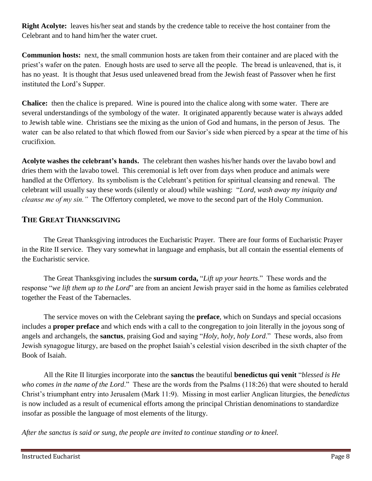**Right Acolyte:** leaves his/her seat and stands by the credence table to receive the host container from the Celebrant and to hand him/her the water cruet.

**Communion hosts:** next, the small communion hosts are taken from their container and are placed with the priest's wafer on the paten. Enough hosts are used to serve all the people. The bread is unleavened, that is, it has no yeast. It is thought that Jesus used unleavened bread from the Jewish feast of Passover when he first instituted the Lord's Supper.

**Chalice:** then the chalice is prepared. Wine is poured into the chalice along with some water. There are several understandings of the symbology of the water. It originated apparently because water is always added to Jewish table wine. Christians see the mixing as the union of God and humans, in the person of Jesus. The water can be also related to that which flowed from our Savior's side when pierced by a spear at the time of his crucifixion.

**Acolyte washes the celebrant's hands.** The celebrant then washes his/her hands over the lavabo bowl and dries them with the lavabo towel. This ceremonial is left over from days when produce and animals were handled at the Offertory. Its symbolism is the Celebrant's petition for spiritual cleansing and renewal. The celebrant will usually say these words (silently or aloud) while washing: "*Lord, wash away my iniquity and cleanse me of my sin."* The Offertory completed, we move to the second part of the Holy Communion.

#### **THE GREAT THANKSGIVING**

The Great Thanksgiving introduces the Eucharistic Prayer. There are four forms of Eucharistic Prayer in the Rite II service. They vary somewhat in language and emphasis, but all contain the essential elements of the Eucharistic service.

The Great Thanksgiving includes the **sursum corda,** "*Lift up your hearts*." These words and the response "*we lift them up to the Lord*" are from an ancient Jewish prayer said in the home as families celebrated together the Feast of the Tabernacles.

The service moves on with the Celebrant saying the **preface**, which on Sundays and special occasions includes a **proper preface** and which ends with a call to the congregation to join literally in the joyous song of angels and archangels, the **sanctus**, praising God and saying "*Holy, holy, holy Lord*." These words, also from Jewish synagogue liturgy, are based on the prophet Isaiah's celestial vision described in the sixth chapter of the Book of Isaiah.

All the Rite II liturgies incorporate into the **sanctus** the beautiful **benedictus qui venit** "*blessed is He who comes in the name of the Lord*." These are the words from the Psalms (118:26) that were shouted to herald Christ's triumphant entry into Jerusalem (Mark 11:9). Missing in most earlier Anglican liturgies, the *benedictus*  is now included as a result of ecumenical efforts among the principal Christian denominations to standardize insofar as possible the language of most elements of the liturgy.

*After the sanctus is said or sung, the people are invited to continue standing or to kneel.*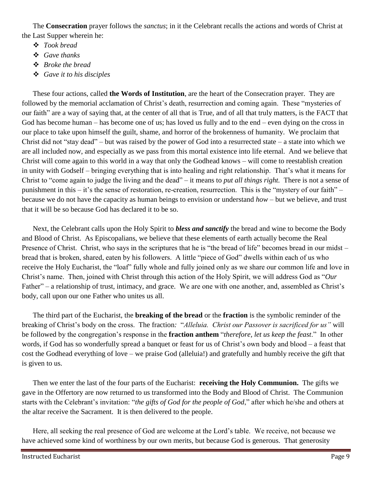The **Consecration** prayer follows the *sanctus*; in it the Celebrant recalls the actions and words of Christ at the Last Supper wherein he:

- *Took bread*
- *Gave thanks*
- *Broke the bread*
- *Gave it to his disciples*

These four actions, called **the Words of Institution**, are the heart of the Consecration prayer. They are followed by the memorial acclamation of Christ's death, resurrection and coming again. These "mysteries of our faith" are a way of saying that, at the center of all that is True, and of all that truly matters, is the FACT that God has become human – has become one of us; has loved us fully and to the end – even dying on the cross in our place to take upon himself the guilt, shame, and horror of the brokenness of humanity. We proclaim that Christ did not "stay dead" – but was raised by the power of God into a resurrected state – a state into which we are all included now, and especially as we pass from this mortal existence into life eternal. And we believe that Christ will come again to this world in a way that only the Godhead knows – will come to reestablish creation in unity with Godself – bringing everything that is into healing and right relationship. That's what it means for Christ to "come again to judge the living and the dead" – it means to *put all things right.* There is not a sense of punishment in this – it's the sense of restoration, re-creation, resurrection. This is the "mystery of our faith" – because we do not have the capacity as human beings to envision or understand *how* – but we believe, and trust that it will be so because God has declared it to be so.

Next, the Celebrant calls upon the Holy Spirit to *bless and sanctify* the bread and wine to become the Body and Blood of Christ. As Episcopalians, we believe that these elements of earth actually become the Real Presence of Christ. Christ, who says in the scriptures that he is "the bread of life" becomes bread in our midst – bread that is broken, shared, eaten by his followers. A little "piece of God" dwells within each of us who receive the Holy Eucharist, the "loaf" fully whole and fully joined only as we share our common life and love in Christ's name. Then, joined with Christ through this action of the Holy Spirit, we will address God as "*Our* Father" – a relationship of trust, intimacy, and grace. We are one with one another, and, assembled as Christ's body, call upon our one Father who unites us all.

The third part of the Eucharist, the **breaking of the bread** or the **fraction** is the symbolic reminder of the breaking of Christ's body on the cross. The fraction*:* "*Alleluia. Christ our Passover is sacrificed for us"* will be followed by the congregation's response in the **fraction anthem** "*therefore, let us keep the feast*." In other words, if God has so wonderfully spread a banquet or feast for us of Christ's own body and blood – a feast that cost the Godhead everything of love – we praise God (alleluia!) and gratefully and humbly receive the gift that is given to us.

Then we enter the last of the four parts of the Eucharist: **receiving the Holy Communion.** The gifts we gave in the Offertory are now returned to us transformed into the Body and Blood of Christ. The Communion starts with the Celebrant's invitation: "*the gifts of God for the people of God*," after which he/she and others at the altar receive the Sacrament. It is then delivered to the people.

Here, all seeking the real presence of God are welcome at the Lord's table. We receive, not because we have achieved some kind of worthiness by our own merits, but because God is generous. That generosity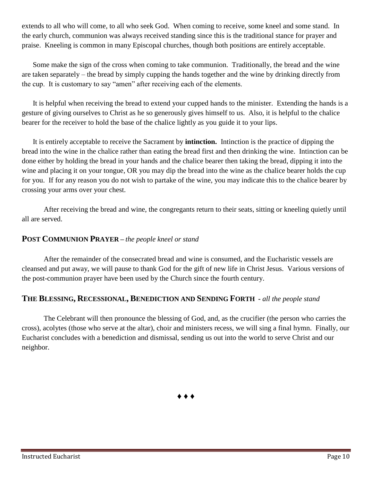extends to all who will come, to all who seek God. When coming to receive, some kneel and some stand. In the early church, communion was always received standing since this is the traditional stance for prayer and praise. Kneeling is common in many Episcopal churches, though both positions are entirely acceptable.

Some make the sign of the cross when coming to take communion. Traditionally, the bread and the wine are taken separately – the bread by simply cupping the hands together and the wine by drinking directly from the cup. It is customary to say "amen" after receiving each of the elements.

It is helpful when receiving the bread to extend your cupped hands to the minister. Extending the hands is a gesture of giving ourselves to Christ as he so generously gives himself to us. Also, it is helpful to the chalice bearer for the receiver to hold the base of the chalice lightly as you guide it to your lips.

It is entirely acceptable to receive the Sacrament by **intinction.** Intinction is the practice of dipping the bread into the wine in the chalice rather than eating the bread first and then drinking the wine. Intinction can be done either by holding the bread in your hands and the chalice bearer then taking the bread, dipping it into the wine and placing it on your tongue, OR you may dip the bread into the wine as the chalice bearer holds the cup for you. If for any reason you do not wish to partake of the wine, you may indicate this to the chalice bearer by crossing your arms over your chest.

After receiving the bread and wine, the congregants return to their seats, sitting or kneeling quietly until all are served.

#### **POST COMMUNION PRAYER –** *the people kneel or stand*

After the remainder of the consecrated bread and wine is consumed, and the Eucharistic vessels are cleansed and put away, we will pause to thank God for the gift of new life in Christ Jesus. Various versions of the post-communion prayer have been used by the Church since the fourth century.

#### **THE BLESSING, RECESSIONAL, BENEDICTION AND SENDING FORTH -** *all the people stand*

The Celebrant will then pronounce the blessing of God, and, as the crucifier (the person who carries the cross), acolytes (those who serve at the altar), choir and ministers recess, we will sing a final hymn. Finally, our Eucharist concludes with a benediction and dismissal, sending us out into the world to serve Christ and our neighbor.